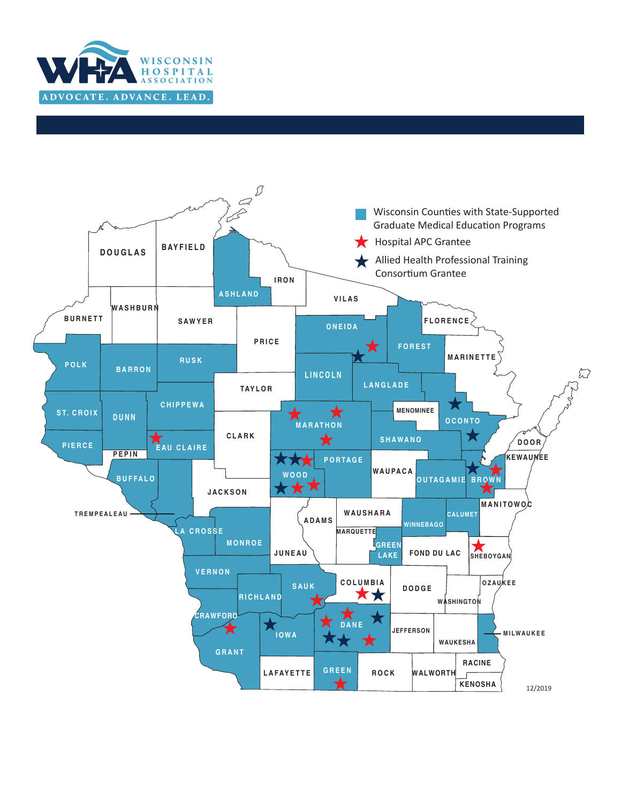